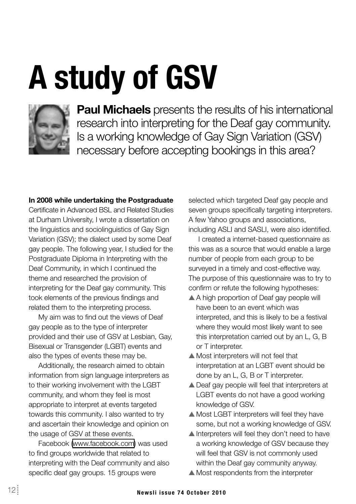# **A study of GSV**



**Paul Michaels** presents the results of his international research into interpreting for the Deaf gay community. Is a working knowledge of Gay Sign Variation (GSV) necessary before accepting bookings in this area?

#### In 2008 while undertaking the Postgraduate

Certificate in Advanced BSL and Related Studies at Durham University. I wrote a dissertation on the linguistics and sociolinguistics of Gay Sign Variation (GSV); the dialect used by some Deaf gay people. The following year, I studied for the Postgraduate Diploma in Interpreting with the Deaf Community, in which I continued the theme and researched the provision of interpreting for the Deaf gay community. This took elements of the previous findings and related them to the interpreting process.

My aim was to find out the views of Deaf gay people as to the type of interpreter provided and their use of GSV at Lesbian, Gay, Bisexual or Transgender (LGBT) events and also the types of events these may be.

Additionally, the research aimed to obtain information from sign language interpreters as to their working involvement with the LGBT community, and whom they feel is most appropriate to interpret at events targeted towards this community. I also wanted to try and ascertain their knowledge and opinion on the usage of GSV at these events.

Facebook (www.facebook.com) was used to find groups worldwide that related to interpreting with the Deaf community and also specific deaf gay groups. 15 groups were

selected which targeted Deaf gay people and seven groups specifically targeting interpreters. A few Yahoo groups and associations, including ASLI and SASLI, were also identified.

I created a internet-based questionnaire as this was as a source that would enable a large number of people from each group to be surveyed in a timely and cost-effective way. The purpose of this questionnaire was to try to confirm or refute the following hypotheses:

- A A high proportion of Deaf gay people will have been to an event which was interpreted, and this is likely to be a festival where they would most likely want to see this interpretation carried out by an L, G, B or T interpreter.
- ▲ Most interpreters will not feel that interpretation at an LGBT event should be done by an L. G. B or T interpreter.
- ▲ Deaf gay people will feel that interpreters at LGBT events do not have a good working knowledge of GSV.
- ▲ Most LGBT interpreters will feel they have some, but not a working knowledge of GSV.
- ▲ Interpreters will feel they don't need to have a working knowledge of GSV because they will feel that GSV is not commonly used within the Deaf gay community anyway.
- $\triangle$  Most respondents from the interpreter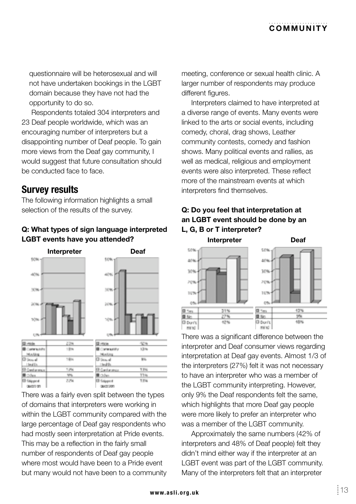## COMMUNITY

questionnaire will be heterosexual and will not have undertaken bookings in the LGBT domain because they have not had the opportunity to do so.

Respondents totaled 304 interpreters and 23 Deaf people worldwide, which was an encouraging number of interpreters but a disappointing number of Deaf people. To gain more views from the Deaf gay community, I would suggest that future consultation should he conducted face to face.

### **Survey results**

The following information highlights a small selection of the results of the survey.

#### Q: What types of sign language interpreted LGBT events have you attended?



There was a fairly even split between the types of domains that interpreters were working in within the LGBT community compared with the large percentage of Deaf gay respondents who had mostly seen interpretation at Pride events. This may be a reflection in the fairly small number of respondents of Deaf gay people where most would have been to a Pride event but many would not have been to a community meeting, conference or sexual health clinic. A larger number of respondents may produce different figures.

Interpreters claimed to have interpreted at a diverse range of events. Many events were linked to the arts or social events, including comedy, choral, drag shows, Leather community contests, comedy and fashion shows. Many political events and rallies, as well as medical, religious and employment events were also interpreted. These reflect more of the mainstream events at which interpreters find themselves.

#### Q: Do you feel that interpretation at an LGBT event should be done by an L. G. B or T interpreter?



There was a significant difference between the interpreter and Deaf consumer views regarding interpretation at Deaf gay events. Almost 1/3 of the interpreters (27%) felt it was not necessary to have an interpreter who was a member of the LGBT community interpreting. However, only 9% the Deaf respondents felt the same, which highlights that more Deaf gay people were more likely to prefer an interpreter who was a member of the LGBT community.

Approximately the same numbers (42% of interpreters and 48% of Deaf people) felt they didn't mind either way if the interpreter at an LGBT event was part of the LGBT community. Many of the interpreters felt that an interpreter